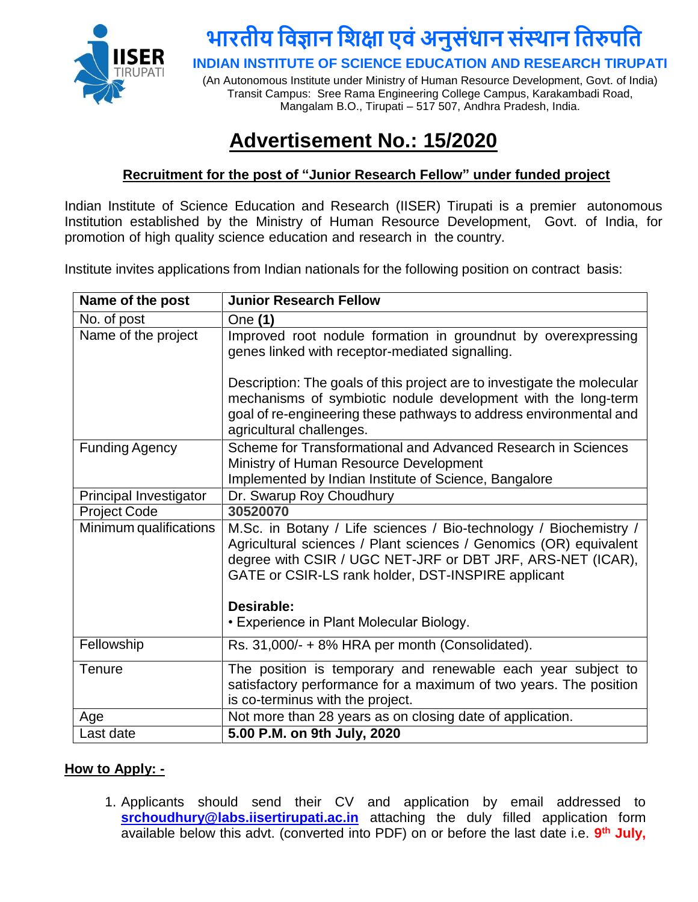

## **भारतीय विज्ञान विक्षा एिंअनुसंधान संस्थान वतरुपवत**

**INDIAN INSTITUTE OF SCIENCE EDUCATION AND RESEARCH TIRUPATI**

(An Autonomous Institute under Ministry of Human Resource Development, Govt. of India) Transit Campus: Sree Rama Engineering College Campus, Karakambadi Road, Mangalam B.O., Tirupati – 517 507, Andhra Pradesh, India.

### **Advertisement No.: 15/2020**

#### **Recruitment for the post of "Junior Research Fellow" under funded project**

Indian Institute of Science Education and Research (IISER) Tirupati is a premier autonomous Institution established by the Ministry of Human Resource Development, Govt. of India, for promotion of high quality science education and research in the country.

Institute invites applications from Indian nationals for the following position on contract basis:

| Name of the post       | <b>Junior Research Fellow</b>                                                                                                                                                                                                                                                                                        |
|------------------------|----------------------------------------------------------------------------------------------------------------------------------------------------------------------------------------------------------------------------------------------------------------------------------------------------------------------|
| No. of post            | One (1)                                                                                                                                                                                                                                                                                                              |
| Name of the project    | Improved root nodule formation in groundnut by overexpressing<br>genes linked with receptor-mediated signalling.                                                                                                                                                                                                     |
|                        | Description: The goals of this project are to investigate the molecular<br>mechanisms of symbiotic nodule development with the long-term<br>goal of re-engineering these pathways to address environmental and<br>agricultural challenges.                                                                           |
| <b>Funding Agency</b>  | Scheme for Transformational and Advanced Research in Sciences<br>Ministry of Human Resource Development<br>Implemented by Indian Institute of Science, Bangalore                                                                                                                                                     |
| Principal Investigator | Dr. Swarup Roy Choudhury                                                                                                                                                                                                                                                                                             |
| <b>Project Code</b>    | 30520070                                                                                                                                                                                                                                                                                                             |
| Minimum qualifications | M.Sc. in Botany / Life sciences / Bio-technology / Biochemistry /<br>Agricultural sciences / Plant sciences / Genomics (OR) equivalent<br>degree with CSIR / UGC NET-JRF or DBT JRF, ARS-NET (ICAR),<br>GATE or CSIR-LS rank holder, DST-INSPIRE applicant<br>Desirable:<br>• Experience in Plant Molecular Biology. |
| Fellowship             | Rs. 31,000/- + 8% HRA per month (Consolidated).                                                                                                                                                                                                                                                                      |
| Tenure                 | The position is temporary and renewable each year subject to<br>satisfactory performance for a maximum of two years. The position<br>is co-terminus with the project.                                                                                                                                                |
| Age                    | Not more than 28 years as on closing date of application.                                                                                                                                                                                                                                                            |
| Last date              | 5.00 P.M. on 9th July, 2020                                                                                                                                                                                                                                                                                          |

#### **How to Apply: -**

1. Applicants should send their CV and application by email addressed to **[srchoudhury@labs.iisertirupati.ac.in](mailto:srchoudhury@labs.iisertirupati.ac.in)** attaching the duly filled application form available below this advt. (converted into PDF) on or before the last date i.e. **9 th July,**